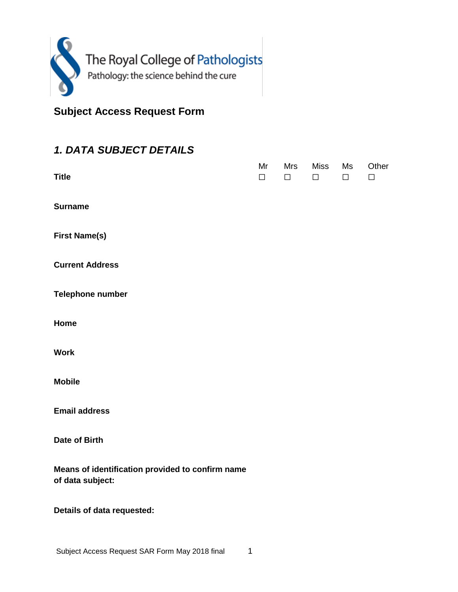

**Subject Access Request Form**

## *1. DATA SUBJECT DETAILS*

| <b>Title</b>                                                         | Mr<br>$\Box$ | Mrs<br>$\Box$ | <b>Miss</b><br>$\Box$ | Ms<br>□ | Other<br>$\Box$ |
|----------------------------------------------------------------------|--------------|---------------|-----------------------|---------|-----------------|
| <b>Surname</b>                                                       |              |               |                       |         |                 |
| <b>First Name(s)</b>                                                 |              |               |                       |         |                 |
| <b>Current Address</b>                                               |              |               |                       |         |                 |
| <b>Telephone number</b>                                              |              |               |                       |         |                 |
| Home<br><b>Work</b>                                                  |              |               |                       |         |                 |
| <b>Mobile</b>                                                        |              |               |                       |         |                 |
| <b>Email address</b>                                                 |              |               |                       |         |                 |
| <b>Date of Birth</b>                                                 |              |               |                       |         |                 |
| Means of identification provided to confirm name<br>of data subject: |              |               |                       |         |                 |
| Details of data requested:                                           |              |               |                       |         |                 |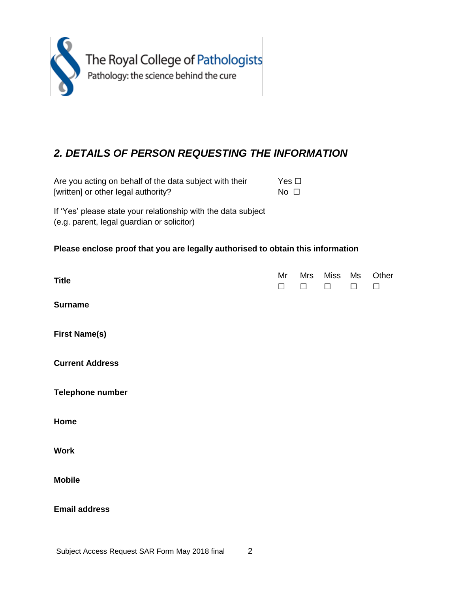

## *2. DETAILS OF PERSON REQUESTING THE INFORMATION*

Are you acting on behalf of the data subject with their [written] or other legal authority? Yes □ No □

If 'Yes' please state your relationship with the data subject (e.g. parent, legal guardian or solicitor)

## **Please enclose proof that you are legally authorised to obtain this information**

| <b>Title</b>           | Mr<br>$\Box$ | Mrs<br>$\Box$ | <b>Miss</b><br>$\Box$ | Ms<br>$\Box$ | Other<br>$\Box$ |
|------------------------|--------------|---------------|-----------------------|--------------|-----------------|
| <b>Surname</b>         |              |               |                       |              |                 |
| <b>First Name(s)</b>   |              |               |                       |              |                 |
| <b>Current Address</b> |              |               |                       |              |                 |
| Telephone number       |              |               |                       |              |                 |
| Home                   |              |               |                       |              |                 |
| <b>Work</b>            |              |               |                       |              |                 |
| <b>Mobile</b>          |              |               |                       |              |                 |
| <b>Email address</b>   |              |               |                       |              |                 |